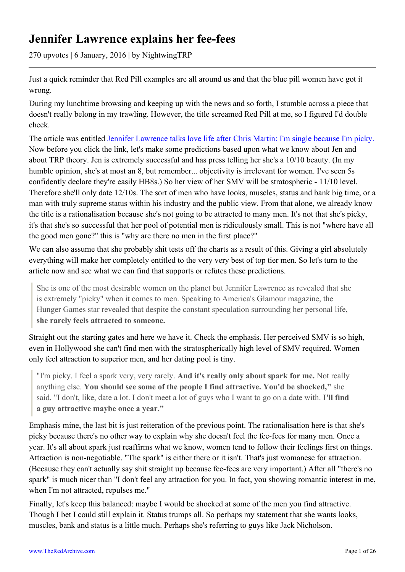# **Jennifer Lawrence explains her fee-fees**

270 upvotes | 6 January, 2016 | by NightwingTRP

Just a quick reminder that Red Pill examples are all around us and that the blue pill women have got it wrong.

During my lunchtime browsing and keeping up with the news and so forth, I stumble across a piece that doesn't really belong in my trawling. However, the title screamed Red Pill at me, so I figured I'd double check.

The article was entitled [Jennifer Lawrence talks love life after Chris Martin: I'm single because I'm picky.](http://www.ibtimes.co.uk/jennifer-lawrence-talks-love-life-after-chris-martin-im-single-because-im-picky-1536202) Now before you click the link, let's make some predictions based upon what we know about Jen and about TRP theory. Jen is extremely successful and has press telling her she's a 10/10 beauty. (In my humble opinion, she's at most an 8, but remember... objectivity is irrelevant for women. I've seen 5s confidently declare they're easily HB8s.) So her view of her SMV will be stratospheric - 11/10 level. Therefore she'll only date 12/10s. The sort of men who have looks, muscles, status and bank big time, or a man with truly supreme status within his industry and the public view. From that alone, we already know the title is a rationalisation because she's not going to be attracted to many men. It's not that she's picky, it's that she's so successful that her pool of potential men is ridiculously small. This is not "where have all the good men gone?" this is "why are there no men in the first place?"

We can also assume that she probably shit tests off the charts as a result of this. Giving a girl absolutely everything will make her completely entitled to the very very best of top tier men. So let's turn to the article now and see what we can find that supports or refutes these predictions.

She is one of the most desirable women on the planet but Jennifer Lawrence as revealed that she is extremely "picky" when it comes to men. Speaking to America's Glamour magazine, the Hunger Games star revealed that despite the constant speculation surrounding her personal life, **she rarely feels attracted to someone.**

Straight out the starting gates and here we have it. Check the emphasis. Her perceived SMV is so high, even in Hollywood she can't find men with the stratospherically high level of SMV required. Women only feel attraction to superior men, and her dating pool is tiny.

"I'm picky. I feel a spark very, very rarely. **And it's really only about spark for me.** Not really anything else. **You should see some of the people I find attractive. You'd be shocked,"** she said. "I don't, like, date a lot. I don't meet a lot of guys who I want to go on a date with. **I'll find a guy attractive maybe once a year."**

Emphasis mine, the last bit is just reiteration of the previous point. The rationalisation here is that she's picky because there's no other way to explain why she doesn't feel the fee-fees for many men. Once a year. It's all about spark just reaffirms what we know, women tend to follow their feelings first on things. Attraction is non-negotiable. "The spark" is either there or it isn't. That's just womanese for attraction. (Because they can't actually say shit straight up because fee-fees are very important.) After all "there's no spark" is much nicer than "I don't feel any attraction for you. In fact, you showing romantic interest in me, when I'm not attracted, repulses me."

Finally, let's keep this balanced: maybe I would be shocked at some of the men you find attractive. Though I bet I could still explain it. Status trumps all. So perhaps my statement that she wants looks, muscles, bank and status is a little much. Perhaps she's referring to guys like Jack Nicholson.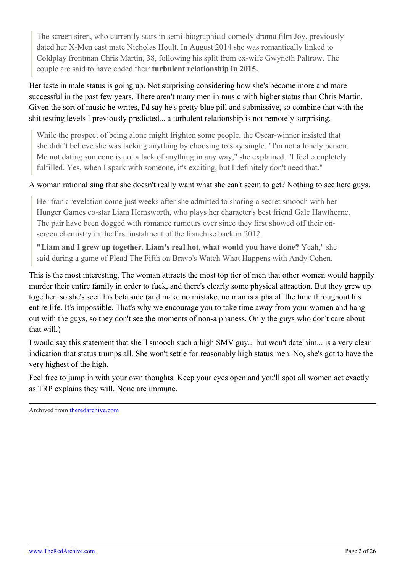The screen siren, who currently stars in semi-biographical comedy drama film Joy, previously dated her X-Men cast mate Nicholas Hoult. In August 2014 she was romantically linked to Coldplay frontman Chris Martin, 38, following his split from ex-wife Gwyneth Paltrow. The couple are said to have ended their **turbulent relationship in 2015.**

Her taste in male status is going up. Not surprising considering how she's become more and more successful in the past few years. There aren't many men in music with higher status than Chris Martin. Given the sort of music he writes, I'd say he's pretty blue pill and submissive, so combine that with the shit testing levels I previously predicted... a turbulent relationship is not remotely surprising.

While the prospect of being alone might frighten some people, the Oscar-winner insisted that she didn't believe she was lacking anything by choosing to stay single. "I'm not a lonely person. Me not dating someone is not a lack of anything in any way," she explained. "I feel completely fulfilled. Yes, when I spark with someone, it's exciting, but I definitely don't need that."

# A woman rationalising that she doesn't really want what she can't seem to get? Nothing to see here guys.

Her frank revelation come just weeks after she admitted to sharing a secret smooch with her Hunger Games co-star Liam Hemsworth, who plays her character's best friend Gale Hawthorne. The pair have been dogged with romance rumours ever since they first showed off their onscreen chemistry in the first instalment of the franchise back in 2012.

**"Liam and I grew up together. Liam's real hot, what would you have done?** Yeah," she said during a game of Plead The Fifth on Bravo's Watch What Happens with Andy Cohen.

This is the most interesting. The woman attracts the most top tier of men that other women would happily murder their entire family in order to fuck, and there's clearly some physical attraction. But they grew up together, so she's seen his beta side (and make no mistake, no man is alpha all the time throughout his entire life. It's impossible. That's why we encourage you to take time away from your women and hang out with the guys, so they don't see the moments of non-alphaness. Only the guys who don't care about that will.)

I would say this statement that she'll smooch such a high SMV guy... but won't date him... is a very clear indication that status trumps all. She won't settle for reasonably high status men. No, she's got to have the very highest of the high.

Feel free to jump in with your own thoughts. Keep your eyes open and you'll spot all women act exactly as TRP explains they will. None are immune.

Archived from [theredarchive.com](https://theredarchive.com/r/TheRedPill/jennifer-lawrence-explains-her-fee-fees.55113)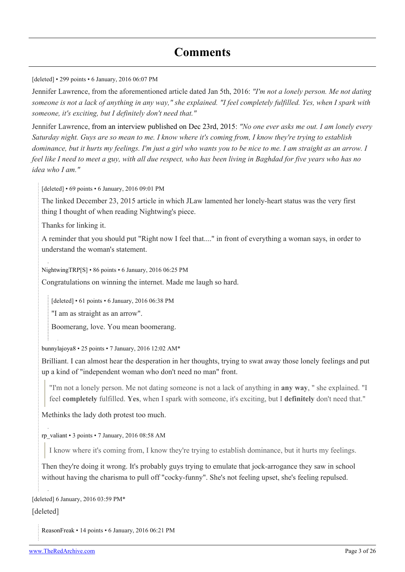[deleted] • 299 points • 6 January, 2016 06:07 PM

Jennifer Lawrence, from the aforementioned article dated Jan 5th, 2016: *"I'm not a lonely person. Me not dating someone is not a lack of anything in any way," she explained. "I feel completely fulfilled. Yes, when I spark with someone, it's exciting, but I definitely don't need that."*

Jennifer Lawrence, [from an interview published on Dec 23rd, 2015](http://www.ibtimes.co.uk/jennifer-lawrence-dating-life-liam-hemsworths-hunger-games-co-star-will-never-date-justin-bieber-1534659): *"No one ever asks me out. I am lonely every Saturday night. Guys are so mean to me. I know where it's coming from, I know they're trying to establish dominance, but it hurts my feelings. I'm just a girl who wants you to be nice to me. I am straight as an arrow. I feel like I need to meet a guy, with all due respect, who has been living in Baghdad for five years who has no idea who I am."*

[deleted] • 69 points • 6 January, 2016 09:01 PM

The linked December 23, 2015 article in which JLaw lamented her lonely-heart status was the very first thing I thought of when reading Nightwing's piece.

Thanks for linking it.

A reminder that you should put "Right now I feel that...." in front of everything a woman says, in order to understand the woman's statement.

[NightwingTRP\[](https://old.reddit.com/user/NightwingTRP)[S\]](https://theredarchive.com/r/TheRedPill/comments/3zpqjs/jennifer_lawrence_explains_her_feefees/) • 86 points • 6 January, 2016 06:25 PM

Congratulations on winning the internet. Made me laugh so hard.

[deleted] • 61 points • 6 January, 2016 06:38 PM

"I am as straight as an arrow".

Boomerang, love. You mean boomerang.

[bunnylajoya8](https://old.reddit.com/user/bunnylajoya8) • 25 points • 7 January, 2016 12:02 AM\*

Brilliant. I can almost hear the desperation in her thoughts, trying to swat away those lonely feelings and put up a kind of "independent woman who don't need no man" front.

"I'm not a lonely person. Me not dating someone is not a lack of anything in **any way**, " she explained. "I feel **completely** fulfilled. **Yes**, when I spark with someone, it's exciting, but I **definitely** don't need that."

Methinks the lady doth protest too much.

[rp\\_valiant](https://old.reddit.com/user/rp_valiant) • 3 points • 7 January, 2016 08:58 AM

I know where it's coming from, I know they're trying to establish dominance, but it hurts my feelings.

Then they're doing it wrong. It's probably guys trying to emulate that jock-arrogance they saw in school without having the charisma to pull off "cocky-funny". She's not feeling upset, she's feeling repulsed.

[deleted] 6 January, 2016 03:59 PM\*

[deleted]

[ReasonFreak](https://old.reddit.com/user/ReasonFreak) • 14 points • 6 January, 2016 06:21 PM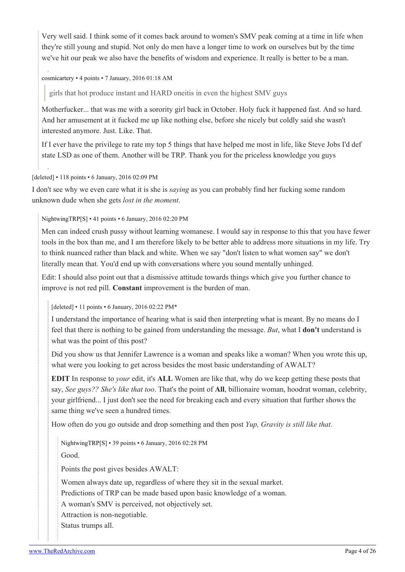Very well said. I think some of it comes back around to women's SMV peak coming at a time in life when they're still young and stupid. Not only do men have a longer time to work on ourselves but by the time we've hit our peak we also have the benefits of wisdom and experience. It really is better to be a man.

## [cosmicartery](https://old.reddit.com/user/cosmicartery) • 4 points • 7 January, 2016 01:18 AM

girls that hot produce instant and HARD oneitis in even the highest SMV guys

Motherfucker... that was me with a sorority girl back in October. Holy fuck it happened fast. And so hard. And her amusement at it fucked me up like nothing else, before she nicely but coldly said she wasn't interested anymore. Just. Like. That.

If I ever have the privilege to rate my top 5 things that have helped me most in life, like Steve Jobs I'd def state LSD as one of them. Another will be TRP. Thank you for the priceless knowledge you guys

## [deleted] • 118 points • 6 January, 2016 02:09 PM

I don't see why we even care what it is she is *saying* as you can probably find her fucking some random unknown dude when she gets *lost in the moment*.

# [NightwingTRP\[](https://old.reddit.com/user/NightwingTRP)[S\]](https://theredarchive.com/r/TheRedPill/comments/3zpqjs/jennifer_lawrence_explains_her_feefees/) • 41 points • 6 January, 2016 02:20 PM

Men can indeed crush pussy without learning womanese. I would say in response to this that you have fewer tools in the box than me, and I am therefore likely to be better able to address more situations in my life. Try to think nuanced rather than black and white. When we say "don't listen to what women say" we don't literally mean that. You'd end up with conversations where you sound mentally unhinged.

Edit: I should also point out that a dismissive attitude towards things which give you further chance to improve is not red pill. **Constant** improvement is the burden of man.

[deleted] • 11 points • 6 January, 2016 02:22 PM\*

I understand the importance of hearing what is said then interpreting what is meant. By no means do I feel that there is nothing to be gained from understanding the message. *But*, what I **don't** understand is what was the point of this post?

Did you show us that Jennifer Lawrence is a woman and speaks like a woman? When you wrote this up, what were you looking to get across besides the most basic understanding of AWALT?

**EDIT** In response to *your* edit, it's **ALL** Women are like that, why do we keep getting these posts that say, *See guys?? She's like that too*. That's the point of **All**, billionaire woman, hoodrat woman, celebrity, your girlfriend... I just don't see the need for breaking each and every situation that further shows the same thing we've seen a hundred times.

How often do you go outside and drop something and then post *Yup, Gravity is still like that*.

[NightwingTRP](https://old.reddit.com/user/NightwingTRP)[\[S](https://theredarchive.com/r/TheRedPill/comments/3zpqjs/jennifer_lawrence_explains_her_feefees/)] • 39 points • 6 January, 2016 02:28 PM

Good.

Points the post gives besides AWALT:

Women always date up, regardless of where they sit in the sexual market.

Predictions of TRP can be made based upon basic knowledge of a woman.

A woman's SMV is perceived, not objectively set.

Attraction is non-negotiable.

Status trumps all.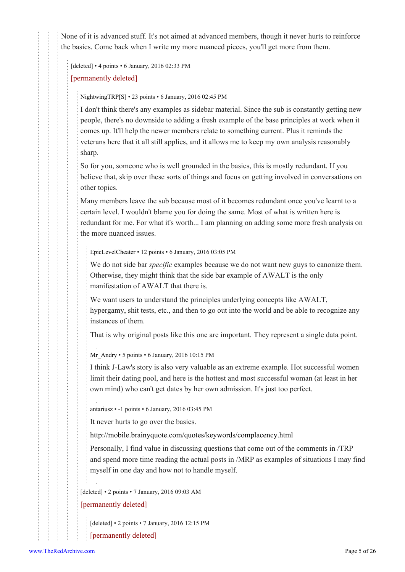None of it is advanced stuff. It's not aimed at advanced members, though it never hurts to reinforce the basics. Come back when I write my more nuanced pieces, you'll get more from them.

[deleted] • 4 points • 6 January, 2016 02:33 PM

[permanently deleted]

[NightwingTRP\[](https://old.reddit.com/user/NightwingTRP)[S\]](https://theredarchive.com/r/TheRedPill/comments/3zpqjs/jennifer_lawrence_explains_her_feefees/) • 23 points • 6 January, 2016 02:45 PM

I don't think there's any examples as sidebar material. Since the sub is constantly getting new people, there's no downside to adding a fresh example of the base principles at work when it comes up. It'll help the newer members relate to something current. Plus it reminds the veterans here that it all still applies, and it allows me to keep my own analysis reasonably sharp.

So for you, someone who is well grounded in the basics, this is mostly redundant. If you believe that, skip over these sorts of things and focus on getting involved in conversations on other topics.

Many members leave the sub because most of it becomes redundant once you've learnt to a certain level. I wouldn't blame you for doing the same. Most of what is written here is redundant for me. For what it's worth... I am planning on adding some more fresh analysis on the more nuanced issues.

[EpicLevelCheater](https://old.reddit.com/user/EpicLevelCheater) • 12 points • 6 January, 2016 03:05 PM

We do not side bar *specific* examples because we do not want new guys to canonize them. Otherwise, they might think that the side bar example of AWALT is the only manifestation of AWALT that there is.

We want users to understand the principles underlying concepts like AWALT, hypergamy, shit tests, etc., and then to go out into the world and be able to recognize any instances of them.

That is why original posts like this one are important. They represent a single data point.

[Mr\\_Andry](https://old.reddit.com/user/Mr_Andry) • 5 points • 6 January, 2016 10:15 PM

I think J-Law's story is also very valuable as an extreme example. Hot successful women limit their dating pool, and here is the hottest and most successful woman (at least in her own mind) who can't get dates by her own admission. It's just too perfect.

[antariusz](https://old.reddit.com/user/antariusz) • -1 points • 6 January, 2016 03:45 PM

It never hurts to go over the basics.

<http://mobile.brainyquote.com/quotes/keywords/complacency.html>

Personally, I find value in discussing questions that come out of the comments in /TRP and spend more time reading the actual posts in /MRP as examples of situations I may find myself in one day and how not to handle myself.

[deleted] • 2 points • 7 January, 2016 09:03 AM

[permanently deleted]

[deleted] • 2 points • 7 January, 2016 12:15 PM

[permanently deleted]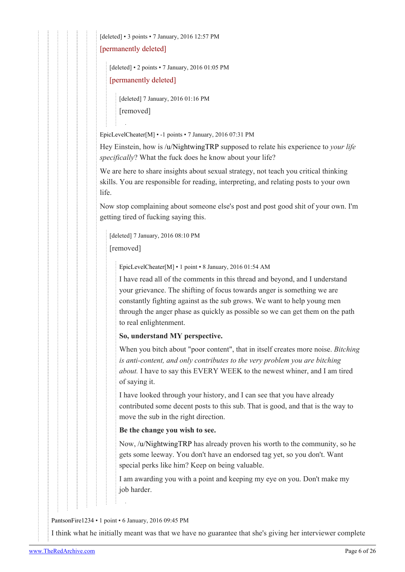[deleted] • 3 points • 7 January, 2016 12:57 PM

[permanently deleted]

[deleted] • 2 points • 7 January, 2016 01:05 PM

[permanently deleted]

[deleted] 7 January, 2016 01:16 PM [removed]

[EpicLevelCheater](https://old.reddit.com/user/EpicLevelCheater)[[M\]](https://theredarchive.com/r/TheRedPill/about/moderators) • -1 points • 7 January, 2016 07:31 PM

Hey Einstein, how is [/u/NightwingTRP](https://theredarchive.com/u/NightwingTRP) supposed to relate his experience to *your life specifically*? What the fuck does he know about your life?

We are here to share insights about sexual strategy, not teach you critical thinking skills. You are responsible for reading, interpreting, and relating posts to your own life.

Now stop complaining about someone else's post and post good shit of your own. I'm getting tired of fucking saying this.

[deleted] 7 January, 2016 08:10 PM [removed]

[EpicLevelCheater](https://old.reddit.com/user/EpicLevelCheater)[\[M](https://theredarchive.com/r/TheRedPill/about/moderators)] • 1 point • 8 January, 2016 01:54 AM

I have read all of the comments in this thread and beyond, and I understand your grievance. The shifting of focus towards anger is something we are constantly fighting against as the sub grows. We want to help young men through the anger phase as quickly as possible so we can get them on the path to real enlightenment.

# **So, understand MY perspective.**

When you bitch about "poor content", that in itself creates more noise. *Bitching is anti-content, and only contributes to the very problem you are bitching about.* I have to say this EVERY WEEK to the newest whiner, and I am tired of saying it.

I have looked through your history, and I can see that you have already contributed some decent posts to this sub. That is good, and that is the way to move the sub in the right direction.

# **Be the change you wish to see.**

Now, [/u/NightwingTRP](https://theredarchive.com/u/NightwingTRP) has already proven his worth to the community, so he gets some leeway. You don't have an endorsed tag yet, so you don't. Want special perks like him? Keep on being valuable.

I am awarding you with a point and keeping my eye on you. Don't make my job harder.

[PantsonFire1234](https://old.reddit.com/user/PantsonFire1234) • 1 point • 6 January, 2016 09:45 PM

I think what he initially meant was that we have no guarantee that she's giving her interviewer complete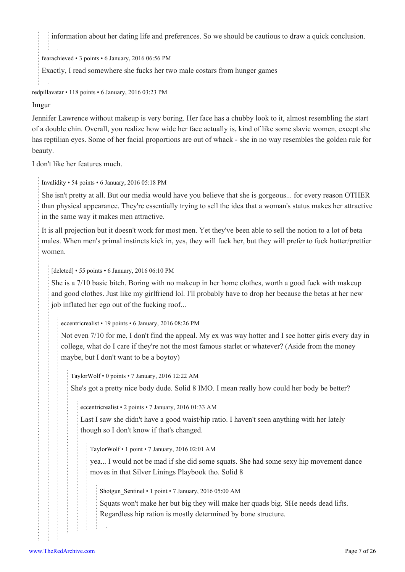information about her dating life and preferences. So we should be cautious to draw a quick conclusion.

[fearachieved](https://old.reddit.com/user/fearachieved) • 3 points • 6 January, 2016 06:56 PM

Exactly, I read somewhere she fucks her two male costars from hunger games

[redpillavatar](https://old.reddit.com/user/redpillavatar) • 118 points • 6 January, 2016 03:23 PM

#### [Imgur](http://i.imgur.com/qYplp3v.jpg)

Jennifer Lawrence without makeup is very boring. Her face has a chubby look to it, almost resembling the start of a double chin. Overall, you realize how wide her face actually is, kind of like some slavic women, except she has reptilian eyes. Some of her facial proportions are out of whack - she in no way resembles the golden rule for beauty.

I don't like her features much.

[Invalidity](https://old.reddit.com/user/Invalidity) • 54 points • 6 January, 2016 05:18 PM

She isn't pretty at all. But our media would have you believe that she is gorgeous... for every reason OTHER than physical appearance. They're essentially trying to sell the idea that a woman's status makes her attractive in the same way it makes men attractive.

It is all projection but it doesn't work for most men. Yet they've been able to sell the notion to a lot of beta males. When men's primal instincts kick in, yes, they will fuck her, but they will prefer to fuck hotter/prettier women.

[deleted] • 55 points • 6 January, 2016 06:10 PM

She is a 7/10 basic bitch. Boring with no makeup in her home clothes, worth a good fuck with makeup and good clothes. Just like my girlfriend lol. I'll probably have to drop her because the betas at her new job inflated her ego out of the fucking roof...

[eccentricrealist](https://old.reddit.com/user/eccentricrealist) • 19 points • 6 January, 2016 08:26 PM

Not even 7/10 for me, I don't find the appeal. My ex was way hotter and I see hotter girls every day in college, what do I care if they're not the most famous starlet or whatever? (Aside from the money maybe, but I don't want to be a boytoy)

[TaylorWolf](https://old.reddit.com/user/TaylorWolf) • 0 points • 7 January, 2016 12:22 AM

She's got a pretty nice body dude. Solid 8 IMO. I mean really how could her body be better?

[eccentricrealist](https://old.reddit.com/user/eccentricrealist) • 2 points • 7 January, 2016 01:33 AM

Last I saw she didn't have a good waist/hip ratio. I haven't seen anything with her lately though so I don't know if that's changed.

[TaylorWolf](https://old.reddit.com/user/TaylorWolf) • 1 point • 7 January, 2016 02:01 AM

yea... I would not be mad if she did some squats. She had some sexy hip movement dance moves in that Silver Linings Playbook tho. Solid 8

Shotgun Sentinel • 1 point • 7 January, 2016 05:00 AM

Squats won't make her but big they will make her quads big. SHe needs dead lifts. Regardless hip ration is mostly determined by bone structure.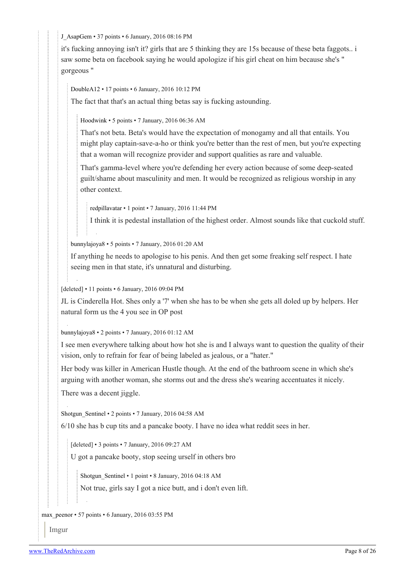[J\\_AsapGem](https://old.reddit.com/user/J_AsapGem) • 37 points • 6 January, 2016 08:16 PM

it's fucking annoying isn't it? girls that are 5 thinking they are 15s because of these beta faggots.. i saw some beta on facebook saying he would apologize if his girl cheat on him because she's " gorgeous "

[DoubleA12](https://old.reddit.com/user/DoubleA12) • 17 points • 6 January, 2016 10:12 PM

The fact that that's an actual thing betas say is fucking astounding.

[Hoodwink](https://old.reddit.com/user/Hoodwink) • 5 points • 7 January, 2016 06:36 AM

That's not beta. Beta's would have the expectation of monogamy and all that entails. You might play captain-save-a-ho or think you're better than the rest of men, but you're expecting that a woman will recognize provider and support qualities as rare and valuable.

That's gamma-level where you're defending her every action because of some deep-seated guilt/shame about masculinity and men. It would be recognized as religious worship in any other context.

[redpillavatar](https://old.reddit.com/user/redpillavatar) • 1 point • 7 January, 2016 11:44 PM

I think it is pedestal installation of the highest order. Almost sounds like that cuckold stuff.

[bunnylajoya8](https://old.reddit.com/user/bunnylajoya8) • 5 points • 7 January, 2016 01:20 AM

If anything he needs to apologise to his penis. And then get some freaking self respect. I hate seeing men in that state, it's unnatural and disturbing.

[deleted] • 11 points • 6 January, 2016 09:04 PM

JL is Cinderella Hot. Shes only a '7' when she has to be when she gets all doled up by helpers. Her natural form us the 4 you see in OP post

[bunnylajoya8](https://old.reddit.com/user/bunnylajoya8) • 2 points • 7 January, 2016 01:12 AM

I see men everywhere talking about how hot she is and I always want to question the quality of their vision, only to refrain for fear of being labeled as jealous, or a "hater."

Her body was killer in American Hustle though. At the end of the bathroom scene in which she's arguing with another woman, she storms out and the dress she's wearing accentuates it nicely.

There was a decent jiggle.

Shotgun Sentinel • 2 points • 7 January, 2016 04:58 AM

6/10 she has b cup tits and a pancake booty. I have no idea what reddit sees in her.

[deleted] • 3 points • 7 January, 2016 09:27 AM

U got a pancake booty, stop seeing urself in others bro

Shotgun Sentinel • 1 point • 8 January, 2016 04:18 AM

Not true, girls say I got a nice butt, and i don't even lift.

max peenor • 57 points • 6 January, 2016 03:55 PM

Imgur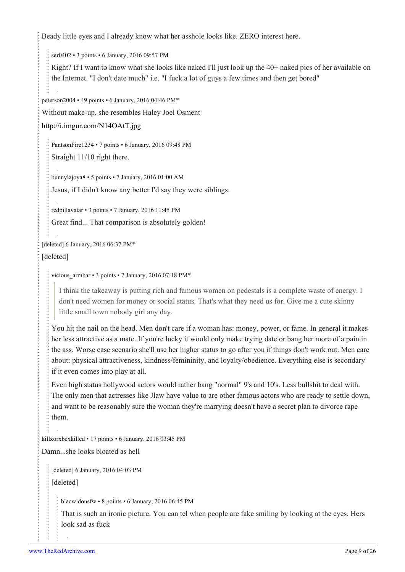Beady little eyes and I already know what her asshole looks like. ZERO interest here.

[ser0402](https://old.reddit.com/user/ser0402) • 3 points • 6 January, 2016 09:57 PM

Right? If I want to know what she looks like naked I'll just look up the 40+ naked pics of her available on the Internet. "I don't date much" i.e. "I fuck a lot of guys a few times and then get bored"

[peterson2004](https://old.reddit.com/user/peterson2004) • 49 points • 6 January, 2016 04:46 PM\*

Without make-up, she resembles Haley Joel Osment

<http://i.imgur.com/N14OAtT.jpg>

[PantsonFire1234](https://old.reddit.com/user/PantsonFire1234) • 7 points • 6 January, 2016 09:48 PM Straight 11/10 right there.

[bunnylajoya8](https://old.reddit.com/user/bunnylajoya8) • 5 points • 7 January, 2016 01:00 AM Jesus, if I didn't know any better I'd say they were siblings.

[redpillavatar](https://old.reddit.com/user/redpillavatar) • 3 points • 7 January, 2016 11:45 PM

Great find... That comparison is absolutely golden!

[deleted] 6 January, 2016 06:37 PM\*

[deleted]

```
vicious armbar • 3 points • 7 January, 2016 07:18 PM*
```
I think the takeaway is putting rich and famous women on pedestals is a complete waste of energy. I don't need women for money or social status. That's what they need us for. Give me a cute skinny little small town nobody girl any day.

You hit the nail on the head. Men don't care if a woman has: money, power, or fame. In general it makes her less attractive as a mate. If you're lucky it would only make trying date or bang her more of a pain in the ass. Worse case scenario she'll use her higher status to go after you if things don't work out. Men care about: physical attractiveness, kindness/femininity, and loyalty/obedience. Everything else is secondary if it even comes into play at all.

Even high status hollywood actors would rather bang "normal" 9's and 10's. Less bullshit to deal with. The only men that actresses like Jlaw have value to are other famous actors who are ready to settle down, and want to be reasonably sure the woman they're marrying doesn't have a secret plan to divorce rape them.

[killxorxbexkilled](https://old.reddit.com/user/killxorxbexkilled) • 17 points • 6 January, 2016 03:45 PM

Damn...she looks bloated as hell

[deleted] 6 January, 2016 04:03 PM [deleted]

[blacwidonsfw](https://old.reddit.com/user/blacwidonsfw) • 8 points • 6 January, 2016 06:45 PM

That is such an ironic picture. You can tel when people are fake smiling by looking at the eyes. Hers look sad as fuck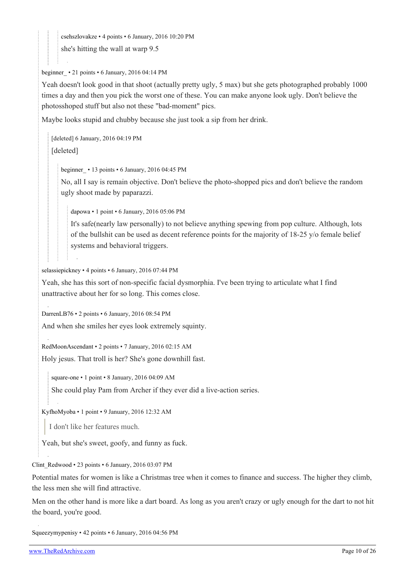[csehszlovakze](https://old.reddit.com/user/csehszlovakze) • 4 points • 6 January, 2016 10:20 PM

she's hitting the wall at warp 9.5

#### beginner • 21 points • 6 January, 2016 04:14 PM

Yeah doesn't look good in that shoot (actually pretty ugly, 5 max) but she gets photographed probably 1000 times a day and then you pick the worst one of these. You can make anyone look ugly. Don't believe the photosshoped stuff but also not these "bad-moment" pics.

Maybe looks stupid and chubby because she just took a sip from her drink.

[deleted] 6 January, 2016 04:19 PM [deleted]

[beginner\\_](https://old.reddit.com/user/beginner_) • 13 points • 6 January, 2016 04:45 PM

No, all I say is remain objective. Don't believe the photo-shopped pics and don't believe the random ugly shoot made by paparazzi.

[dapowa](https://old.reddit.com/user/dapowa) • 1 point • 6 January, 2016 05:06 PM

It's safe(nearly law personally) to not believe anything spewing from pop culture. Although, lots of the bullshit can be used as decent reference points for the majority of 18-25 y/o female belief systems and behavioral triggers.

[selassiepickney](https://old.reddit.com/user/selassiepickney) • 4 points • 6 January, 2016 07:44 PM

Yeah, she has this sort of non-specific facial dysmorphia. I've been trying to articulate what I find unattractive about her for so long. This comes close.

[DarrenLB76](https://old.reddit.com/user/DarrenLB76) • 2 points • 6 January, 2016 08:54 PM

And when she smiles her eyes look extremely squinty.

[RedMoonAscendant](https://old.reddit.com/user/RedMoonAscendant) • 2 points • 7 January, 2016 02:15 AM

Holy jesus. That troll is her? She's gone downhill fast.

[square-one](https://old.reddit.com/user/square-one) • 1 point • 8 January, 2016 04:09 AM She could play Pam from Archer if they ever did a live-action series.

[KyfhoMyoba](https://old.reddit.com/user/KyfhoMyoba) • 1 point • 9 January, 2016 12:32 AM

I don't like her features much.

Yeah, but she's sweet, goofy, and funny as fuck.

#### [Clint\\_Redwood](https://old.reddit.com/user/Clint_Redwood) • 23 points • 6 January, 2016 03:07 PM

Potential mates for women is like a Christmas tree when it comes to finance and success. The higher they climb, the less men she will find attractive.

Men on the other hand is more like a dart board. As long as you aren't crazy or ugly enough for the dart to not hit the board, you're good.

[Squeezymypenisy](https://old.reddit.com/user/Squeezymypenisy) • 42 points • 6 January, 2016 04:56 PM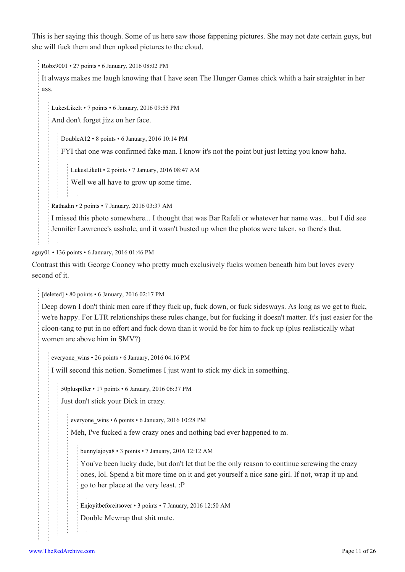This is her saying this though. Some of us here saw those fappening pictures. She may not date certain guys, but she will fuck them and then upload pictures to the cloud.

[Robx9001](https://old.reddit.com/user/Robx9001) • 27 points • 6 January, 2016 08:02 PM

It always makes me laugh knowing that I have seen The Hunger Games chick whith a hair straighter in her ass.

[LukesLikeIt](https://old.reddit.com/user/LukesLikeIt) • 7 points • 6 January, 2016 09:55 PM

And don't forget jizz on her face.

[DoubleA12](https://old.reddit.com/user/DoubleA12) • 8 points • 6 January, 2016 10:14 PM

FYI that one was confirmed fake man. I know it's not the point but just letting you know haha.

[LukesLikeIt](https://old.reddit.com/user/LukesLikeIt) • 2 points • 7 January, 2016 08:47 AM

Well we all have to grow up some time.

[Rathadin](https://old.reddit.com/user/Rathadin) • 2 points • 7 January, 2016 03:37 AM

I missed this photo somewhere... I thought that was Bar Rafeli or whatever her name was... but I did see Jennifer Lawrence's asshole, and it wasn't busted up when the photos were taken, so there's that.

[aguy01](https://old.reddit.com/user/aguy01) • 136 points • 6 January, 2016 01:46 PM

Contrast this with George Cooney who pretty much exclusively fucks women beneath him but loves every second of it.

[deleted] • 80 points • 6 January, 2016 02:17 PM

Deep down I don't think men care if they fuck up, fuck down, or fuck sidesways. As long as we get to fuck, we're happy. For LTR relationships these rules change, but for fucking it doesn't matter. It's just easier for the cloon-tang to put in no effort and fuck down than it would be for him to fuck up (plus realistically what women are above him in SMV?)

[everyone\\_wins](https://old.reddit.com/user/everyone_wins) • 26 points • 6 January, 2016 04:16 PM

I will second this notion. Sometimes I just want to stick my dick in something.

[50pluspiller](https://old.reddit.com/user/50pluspiller) • 17 points • 6 January, 2016 06:37 PM

Just don't stick your Dick in crazy.

everyone wins • 6 points • 6 January, 2016 10:28 PM

Meh, I've fucked a few crazy ones and nothing bad ever happened to m.

[bunnylajoya8](https://old.reddit.com/user/bunnylajoya8) • 3 points • 7 January, 2016 12:12 AM

You've been lucky dude, but don't let that be the only reason to continue screwing the crazy ones, lol. Spend a bit more time on it and get yourself a nice sane girl. If not, wrap it up and go to her place at the very least. :P

[Enjoyitbeforeitsover](https://old.reddit.com/user/Enjoyitbeforeitsover) • 3 points • 7 January, 2016 12:50 AM Double Mcwrap that shit mate.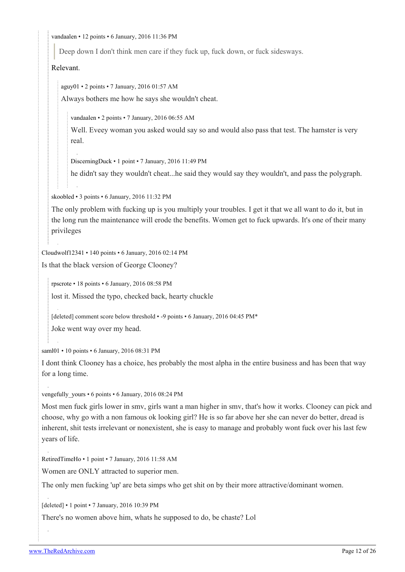[vandaalen](https://old.reddit.com/user/vandaalen) • 12 points • 6 January, 2016 11:36 PM

Deep down I don't think men care if they fuck up, fuck down, or fuck sidesways.

[Relevant](https://youtu.be/aAfOcUX7zKY?t=90).

[aguy01](https://old.reddit.com/user/aguy01) • 2 points • 7 January, 2016 01:57 AM

Always bothers me how he says she wouldn't cheat.

[vandaalen](https://old.reddit.com/user/vandaalen) • 2 points • 7 January, 2016 06:55 AM

Well. Eveey woman you asked would say so and would also pass that test. The hamster is very real.

[DiscerningDuck](https://old.reddit.com/user/DiscerningDuck) • 1 point • 7 January, 2016 11:49 PM

he didn't say they wouldn't cheat...he said they would say they wouldn't, and pass the polygraph.

[skoobled](https://old.reddit.com/user/skoobled) • 3 points • 6 January, 2016 11:32 PM

The only problem with fucking up is you multiply your troubles. I get it that we all want to do it, but in the long run the maintenance will erode the benefits. Women get to fuck upwards. It's one of their many privileges

[Cloudwolf12341](https://old.reddit.com/user/Cloudwolf12341) • 140 points • 6 January, 2016 02:14 PM

Is that the black version of George Clooney?

[rpscrote](https://old.reddit.com/user/rpscrote) • 18 points • 6 January, 2016 08:58 PM

lost it. Missed the typo, checked back, hearty chuckle

[deleted] comment score below threshold • -9 points • 6 January, 2016 04:45 PM\*

Joke went way over my head.

[saml01](https://old.reddit.com/user/saml01) • 10 points • 6 January, 2016 08:31 PM

I dont think Clooney has a choice, hes probably the most alpha in the entire business and has been that way for a long time.

vengefully yours • 6 points • 6 January, 2016 08:24 PM

Most men fuck girls lower in smv, girls want a man higher in smv, that's how it works. Clooney can pick and choose, why go with a non famous ok looking girl? He is so far above her she can never do better, dread is inherent, shit tests irrelevant or nonexistent, she is easy to manage and probably wont fuck over his last few years of life.

[RetiredTimeHo](https://old.reddit.com/user/RetiredTimeHo) • 1 point • 7 January, 2016 11:58 AM

Women are ONLY attracted to superior men.

The only men fucking 'up' are beta simps who get shit on by their more attractive/dominant women.

[deleted] • 1 point • 7 January, 2016 10:39 PM

There's no women above him, whats he supposed to do, be chaste? Lol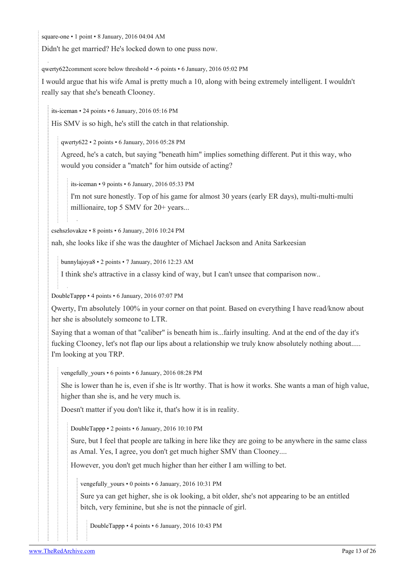[square-one](https://old.reddit.com/user/square-one) • 1 point • 8 January, 2016 04:04 AM

Didn't he get married? He's locked down to one puss now.

[qwerty622c](https://old.reddit.com/user/qwerty622)omment score below threshold • -6 points • 6 January, 2016 05:02 PM

I would argue that his wife Amal is pretty much a 10, along with being extremely intelligent. I wouldn't really say that she's beneath Clooney.

[its-iceman](https://old.reddit.com/user/its-iceman) • 24 points • 6 January, 2016 05:16 PM

His SMV is so high, he's still the catch in that relationship.

[qwerty622](https://old.reddit.com/user/qwerty622) • 2 points • 6 January, 2016 05:28 PM

Agreed, he's a catch, but saying "beneath him" implies something different. Put it this way, who would you consider a "match" for him outside of acting?

[its-iceman](https://old.reddit.com/user/its-iceman) • 9 points • 6 January, 2016 05:33 PM

I'm not sure honestly. Top of his game for almost 30 years (early ER days), multi-multi-multi millionaire, top 5 SMV for 20+ years...

[csehszlovakze](https://old.reddit.com/user/csehszlovakze) • 8 points • 6 January, 2016 10:24 PM

nah, she looks like if she was the daughter of Michael Jackson and Anita Sarkeesian

[bunnylajoya8](https://old.reddit.com/user/bunnylajoya8) • 2 points • 7 January, 2016 12:23 AM

I think she's attractive in a classy kind of way, but I can't unsee that comparison now..

[DoubleTappp](https://old.reddit.com/user/DoubleTappp) • 4 points • 6 January, 2016 07:07 PM

Qwerty, I'm absolutely 100% in your corner on that point. Based on everything I have read/know about her she is absolutely someone to LTR.

Saying that a woman of that "caliber" is beneath him is...fairly insulting. And at the end of the day it's fucking Clooney, let's not flap our lips about a relationship we truly know absolutely nothing about..... I'm looking at you TRP.

[vengefully\\_yours](https://old.reddit.com/user/vengefully_yours) • 6 points • 6 January, 2016 08:28 PM

She is lower than he is, even if she is ltr worthy. That is how it works. She wants a man of high value, higher than she is, and he very much is.

Doesn't matter if you don't like it, that's how it is in reality.

[DoubleTappp](https://old.reddit.com/user/DoubleTappp) • 2 points • 6 January, 2016 10:10 PM

Sure, but I feel that people are talking in here like they are going to be anywhere in the same class as Amal. Yes, I agree, you don't get much higher SMV than Clooney....

However, you don't get much higher than her either I am willing to bet.

vengefully yours • 0 points • 6 January, 2016 10:31 PM

Sure ya can get higher, she is ok looking, a bit older, she's not appearing to be an entitled bitch, very feminine, but she is not the pinnacle of girl.

[DoubleTappp](https://old.reddit.com/user/DoubleTappp) • 4 points • 6 January, 2016 10:43 PM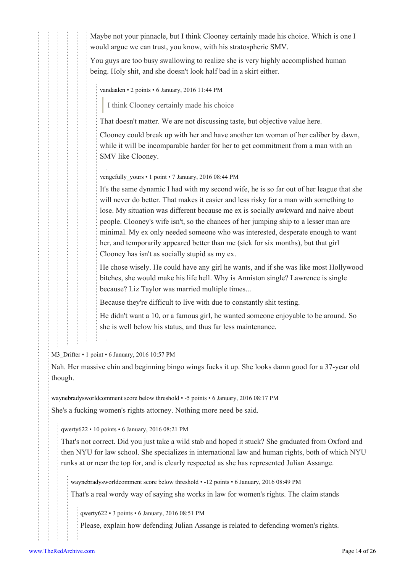Maybe not your pinnacle, but I think Clooney certainly made his choice. Which is one I would argue we can trust, you know, with his stratospheric SMV.

You guys are too busy swallowing to realize she is very highly accomplished human being. Holy shit, and she doesn't look half bad in a skirt either.

[vandaalen](https://old.reddit.com/user/vandaalen) • 2 points • 6 January, 2016 11:44 PM

I think Clooney certainly made his choice

That doesn't matter. We are not discussing taste, but objective value here.

Clooney could break up with her and have another ten woman of her caliber by dawn, while it will be incomparable harder for her to get commitment from a man with an SMV like Clooney.

vengefully yours • 1 point • 7 January, 2016 08:44 PM

It's the same dynamic I had with my second wife, he is so far out of her league that she will never do better. That makes it easier and less risky for a man with something to lose. My situation was different because me ex is socially awkward and naive about people. Clooney's wife isn't, so the chances of her jumping ship to a lesser man are minimal. My ex only needed someone who was interested, desperate enough to want her, and temporarily appeared better than me (sick for six months), but that girl Clooney has isn't as socially stupid as my ex.

He chose wisely. He could have any girl he wants, and if she was like most Hollywood bitches, she would make his life hell. Why is Anniston single? Lawrence is single because? Liz Taylor was married multiple times...

Because they're difficult to live with due to constantly shit testing.

He didn't want a 10, or a famous girl, he wanted someone enjoyable to be around. So she is well below his status, and thus far less maintenance.

M3 Drifter • 1 point • 6 January, 2016 10:57 PM

Nah. Her massive chin and beginning bingo wings fucks it up. She looks damn good for a 37-year old though.

[waynebradysworldc](https://old.reddit.com/user/waynebradysworld)omment score below threshold • -5 points • 6 January, 2016 08:17 PM

She's a fucking women's rights attorney. Nothing more need be said.

[qwerty622](https://old.reddit.com/user/qwerty622) • 10 points • 6 January, 2016 08:21 PM

That's not correct. Did you just take a wild stab and hoped it stuck? She graduated from Oxford and then NYU for law school. She specializes in international law and human rights, both of which NYU ranks at or near the top for, and is clearly respected as she has represented Julian Assange.

[waynebradysworld](https://old.reddit.com/user/waynebradysworld)comment score below threshold • -12 points • 6 January, 2016 08:49 PM

That's a real wordy way of saying she works in law for women's rights. The claim stands

[qwerty622](https://old.reddit.com/user/qwerty622) • 3 points • 6 January, 2016 08:51 PM

Please, explain how defending Julian Assange is related to defending women's rights.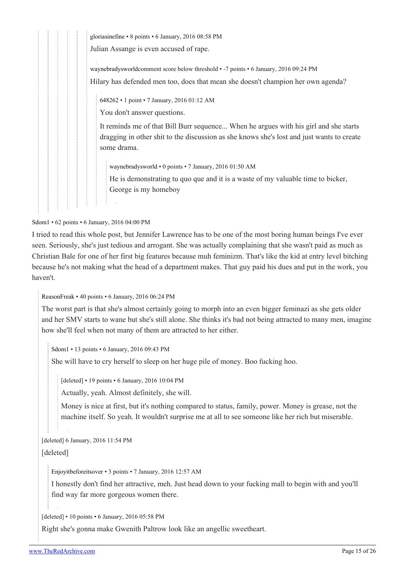[gloriasinefine](https://old.reddit.com/user/gloriasinefine) • 8 points • 6 January, 2016 08:58 PM Julian Assange is even accused of rape. [waynebradysworldc](https://old.reddit.com/user/waynebradysworld)omment score below threshold • -7 points • 6 January, 2016 09:24 PM Hilary has defended men too, does that mean she doesn't champion her own agenda? [648262](https://old.reddit.com/user/648262) • 1 point • 7 January, 2016 01:12 AM You don't answer questions. It reminds me of that Bill Burr sequence... When he argues with his girl and she starts dragging in other shit to the discussion as she knows she's lost and just wants to create some drama. [waynebradysworld](https://old.reddit.com/user/waynebradysworld) • 0 points • 7 January, 2016 01:50 AM He is demonstrating tu quo que and it is a waste of my valuable time to bicker, George is my homeboy

[Sdom1](https://old.reddit.com/user/Sdom1) • 62 points • 6 January, 2016 04:00 PM

I tried to read this whole post, but Jennifer Lawrence has to be one of the most boring human beings I've ever seen. Seriously, she's just tedious and arrogant. She was actually complaining that she wasn't paid as much as Christian Bale for one of her first big features because muh feminizm. That's like the kid at entry level bitching because he's not making what the head of a department makes. That guy paid his dues and put in the work, you haven't.

[ReasonFreak](https://old.reddit.com/user/ReasonFreak) • 40 points • 6 January, 2016 06:24 PM

The worst part is that she's almost certainly going to morph into an even bigger feminazi as she gets older and her SMV starts to wane but she's still alone. She thinks it's bad not being attracted to many men, imagine how she'll feel when not many of them are attracted to her either.

[Sdom1](https://old.reddit.com/user/Sdom1) • 13 points • 6 January, 2016 09:43 PM

She will have to cry herself to sleep on her huge pile of money. Boo fucking hoo.

[deleted] • 19 points • 6 January, 2016 10:04 PM

Actually, yeah. Almost definitely, she will.

Money is nice at first, but it's nothing compared to status, family, power. Money is grease, not the machine itself. So yeah. It wouldn't surprise me at all to see someone like her rich but miserable.

[deleted] 6 January, 2016 11:54 PM

[deleted]

[Enjoyitbeforeitsover](https://old.reddit.com/user/Enjoyitbeforeitsover) • 3 points • 7 January, 2016 12:57 AM

I honestly don't find her attractive, meh. Just head down to your fucking mall to begin with and you'll find way far more gorgeous women there.

[deleted] • 10 points • 6 January, 2016 05:58 PM

Right she's gonna make Gwenith Paltrow look like an angellic sweetheart.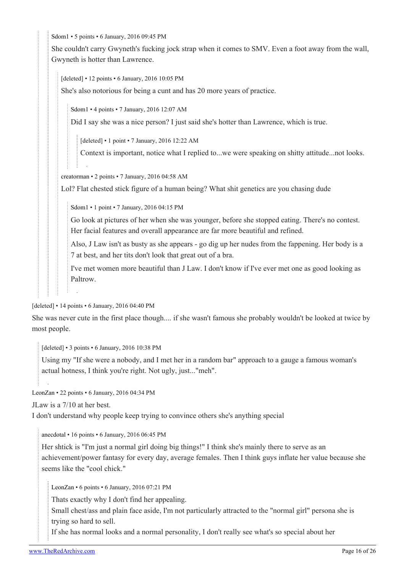[Sdom1](https://old.reddit.com/user/Sdom1) • 5 points • 6 January, 2016 09:45 PM

She couldn't carry Gwyneth's fucking jock strap when it comes to SMV. Even a foot away from the wall, Gwyneth is hotter than Lawrence.

[deleted] • 12 points • 6 January, 2016 10:05 PM

She's also notorious for being a cunt and has 20 more years of practice.

[Sdom1](https://old.reddit.com/user/Sdom1) • 4 points • 7 January, 2016 12:07 AM

Did I say she was a nice person? I just said she's hotter than Lawrence, which is true.

[deleted] • 1 point • 7 January, 2016 12:22 AM

Context is important, notice what I replied to...we were speaking on shitty attitude...not looks.

[creatorman](https://old.reddit.com/user/creatorman) • 2 points • 7 January, 2016 04:58 AM

Lol? Flat chested stick figure of a human being? What shit genetics are you chasing dude

[Sdom1](https://old.reddit.com/user/Sdom1) • 1 point • 7 January, 2016 04:15 PM

Go look at pictures of her when she was younger, before she stopped eating. There's no contest. Her facial features and overall appearance are far more beautiful and refined.

Also, J Law isn't as busty as she appears - go dig up her nudes from the fappening. Her body is a 7 at best, and her tits don't look that great out of a bra.

I've met women more beautiful than J Law. I don't know if I've ever met one as good looking as Paltrow.

[deleted] • 14 points • 6 January, 2016 04:40 PM

She was never cute in the first place though.... if she wasn't famous she probably wouldn't be looked at twice by most people.

[deleted] • 3 points • 6 January, 2016 10:38 PM

Using my "If she were a nobody, and I met her in a random bar" approach to a gauge a famous woman's actual hotness, I think you're right. Not ugly, just..."meh".

[LeonZan](https://old.reddit.com/user/LeonZan) • 22 points • 6 January, 2016 04:34 PM

JLaw is a 7/10 at her best.

I don't understand why people keep trying to convince others she's anything special

[anecdotal](https://old.reddit.com/user/anecdotal) • 16 points • 6 January, 2016 06:45 PM

Her shtick is "I'm just a normal girl doing big things!" I think she's mainly there to serve as an achievement/power fantasy for every day, average females. Then I think guys inflate her value because she seems like the "cool chick."

[LeonZan](https://old.reddit.com/user/LeonZan) • 6 points • 6 January, 2016 07:21 PM

Thats exactly why I don't find her appealing.

Small chest/ass and plain face aside, I'm not particularly attracted to the "normal girl" persona she is trying so hard to sell.

If she has normal looks and a normal personality, I don't really see what's so special about her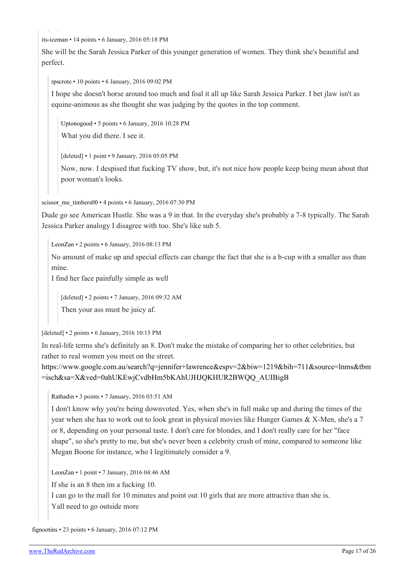[its-iceman](https://old.reddit.com/user/its-iceman) • 14 points • 6 January, 2016 05:18 PM

She will be the Sarah Jessica Parker of this younger generation of women. They think she's beautiful and perfect.

[rpscrote](https://old.reddit.com/user/rpscrote) • 10 points • 6 January, 2016 09:02 PM

I hope she doesn't horse around too much and foal it all up like Sarah Jessica Parker. I bet jlaw isn't as equine-animous as she thought she was judging by the quotes in the top comment.

[Uptonogood](https://old.reddit.com/user/Uptonogood) • 5 points • 6 January, 2016 10:28 PM

What you did there. I see it.

[deleted] • 1 point • 9 January, 2016 05:05 PM

Now, now. I despised that fucking TV show, but, it's not nice how people keep being mean about that poor woman's looks.

[scissor\\_me\\_timbers00](https://old.reddit.com/user/scissor_me_timbers00) • 4 points • 6 January, 2016 07:30 PM

Dude go see American Hustle. She was a 9 in that. In the everyday she's probably a 7-8 typically. The Sarah Jessica Parker analogy I disagree with too. She's like sub 5.

[LeonZan](https://old.reddit.com/user/LeonZan) • 2 points • 6 January, 2016 08:13 PM

No amount of make up and special effects can change the fact that she is a b-cup with a smaller ass than mine.

I find her face painfully simple as well

[deleted] • 2 points • 7 January, 2016 09:32 AM

Then your ass must be juicy af.

[deleted] • 2 points • 6 January, 2016 10:15 PM

In real-life terms she's definitely an 8. Don't make the mistake of comparing her to other celebrities, but rather to real women you meet on the street.

[https://www.google.com.au/search?q=jennifer+lawrence&espv=2&biw=1219&bih=711&source=lnms&tbm](https://www.google.com.au/search?q=jennifer+lawrence&espv=2&biw=1219&bih=711&source=lnms&tbm=isch&sa=X&ved=0ahUKEwjCvdbHm5bKAhUJHJQKHUR2BWQQ_AUIBigB) [=isch&sa=X&ved=0ahUKEwjCvdbHm5bKAhUJHJQKHUR2BWQQ\\_AUIBigB](https://www.google.com.au/search?q=jennifer+lawrence&espv=2&biw=1219&bih=711&source=lnms&tbm=isch&sa=X&ved=0ahUKEwjCvdbHm5bKAhUJHJQKHUR2BWQQ_AUIBigB)

[Rathadin](https://old.reddit.com/user/Rathadin) • 3 points • 7 January, 2016 03:51 AM

I don't know why you're being downvoted. Yes, when she's in full make up and during the times of the year when she has to work out to look great in physical movies like Hunger Games & X-Men, she's a 7 or 8, depending on your personal taste. I don't care for blondes, and I don't really care for her "face shape", so she's pretty to me, but she's never been a celebrity crush of mine, compared to someone like Megan Boone for instance, who I legitimately consider a 9.

[LeonZan](https://old.reddit.com/user/LeonZan) • 1 point • 7 January, 2016 04:46 AM

If she is an 8 then im a fucking 10.

I can go to the mall for 10 minutes and point out 10 girls that are more attractive than she is. Yall need to go outside more

[fignootins](https://old.reddit.com/user/fignootins) • 23 points • 6 January, 2016 07:12 PM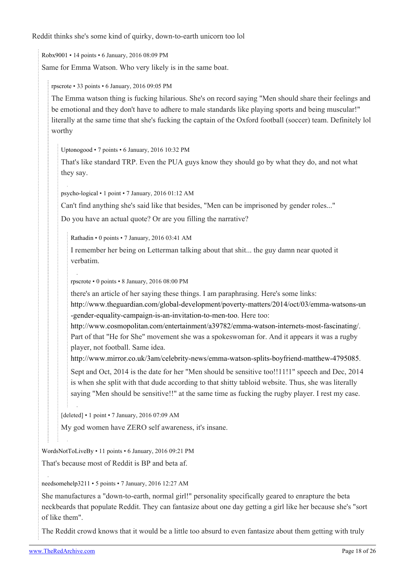Reddit thinks she's some kind of quirky, down-to-earth unicorn too lol

[Robx9001](https://old.reddit.com/user/Robx9001) • 14 points • 6 January, 2016 08:09 PM Same for Emma Watson. Who very likely is in the same boat.

[rpscrote](https://old.reddit.com/user/rpscrote) • 33 points • 6 January, 2016 09:05 PM

The Emma watson thing is fucking hilarious. She's on record saying "Men should share their feelings and be emotional and they don't have to adhere to male standards like playing sports and being muscular!" literally at the same time that she's fucking the captain of the Oxford football (soccer) team. Definitely lol worthy

[Uptonogood](https://old.reddit.com/user/Uptonogood) • 7 points • 6 January, 2016 10:32 PM

That's like standard TRP. Even the PUA guys know they should go by what they do, and not what they say.

[psycho-logical](https://old.reddit.com/user/psycho-logical) • 1 point • 7 January, 2016 01:12 AM

Can't find anything she's said like that besides, "Men can be imprisoned by gender roles..."

Do you have an actual quote? Or are you filling the narrative?

[Rathadin](https://old.reddit.com/user/Rathadin) • 0 points • 7 January, 2016 03:41 AM

I remember her being on Letterman talking about that shit... the guy damn near quoted it verbatim.

[rpscrote](https://old.reddit.com/user/rpscrote) • 0 points • 8 January, 2016 08:00 PM

there's an article of her saying these things. I am paraphrasing. Here's some links:

[http://www.theguardian.com/global-development/poverty-matters/2014/oct/03/emma-watsons-un](http://www.theguardian.com/global-development/poverty-matters/2014/oct/03/emma-watsons-un-gender-equality-campaign-is-an-invitation-to-men-too) [-gender-equality-campaign-is-an-invitation-to-men-too](http://www.theguardian.com/global-development/poverty-matters/2014/oct/03/emma-watsons-un-gender-equality-campaign-is-an-invitation-to-men-too). Here too:

[http://www.cosmopolitan.com/entertainment/a39782/emma-watson-internets-most-fascinating/.](http://www.cosmopolitan.com/entertainment/a39782/emma-watson-internets-most-fascinating/) Part of that "He for She" movement she was a spokeswoman for. And it appears it was a rugby player, not football. Same idea.

[http://www.mirror.co.uk/3am/celebrity-news/emma-watson-splits-boyfriend-matthew-4795085.](http://www.mirror.co.uk/3am/celebrity-news/emma-watson-splits-boyfriend-matthew-4795085)

Sept and Oct, 2014 is the date for her "Men should be sensitive too!!11!1" speech and Dec, 2014 is when she split with that dude according to that shitty tabloid website. Thus, she was literally saying "Men should be sensitive!!" at the same time as fucking the rugby player. I rest my case.

[deleted] • 1 point • 7 January, 2016 07:09 AM

My god women have ZERO self awareness, it's insane.

[WordsNotToLiveBy](https://old.reddit.com/user/WordsNotToLiveBy) • 11 points • 6 January, 2016 09:21 PM

That's because most of Reddit is BP and beta af.

[needsomehelp3211](https://old.reddit.com/user/needsomehelp3211) • 5 points • 7 January, 2016 12:27 AM

She manufactures a "down-to-earth, normal girl!" personality specifically geared to enrapture the beta neckbeards that populate Reddit. They can fantasize about one day getting a girl like her because she's "sort of like them".

The Reddit crowd knows that it would be a little too absurd to even fantasize about them getting with truly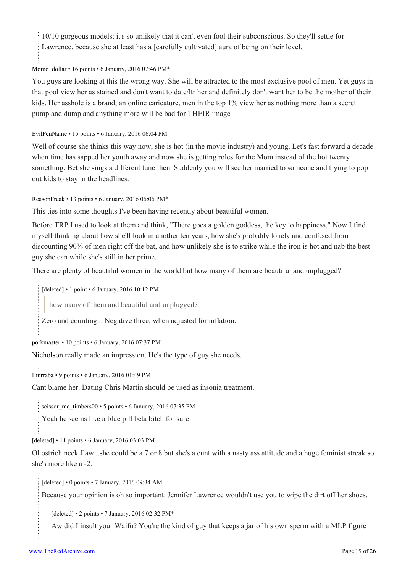10/10 gorgeous models; it's so unlikely that it can't even fool their subconscious. So they'll settle for Lawrence, because she at least has a [carefully cultivated] aura of being on their level.

### [Momo\\_dollar](https://old.reddit.com/user/Momo_dollar) • 16 points • 6 January, 2016 07:46 PM\*

You guys are looking at this the wrong way. She will be attracted to the most exclusive pool of men. Yet guys in that pool view her as stained and don't want to date/ltr her and definitely don't want her to be the mother of their kids. Her asshole is a brand, an online caricature, men in the top 1% view her as nothing more than a secret pump and dump and anything more will be bad for THEIR image

[EvilPenName](https://old.reddit.com/user/EvilPenName) • 15 points • 6 January, 2016 06:04 PM

Well of course she thinks this way now, she is hot (in the movie industry) and young. Let's fast forward a decade when time has sapped her youth away and now she is getting roles for the Mom instead of the hot twenty something. Bet she sings a different tune then. Suddenly you will see her married to someone and trying to pop out kids to stay in the headlines.

[ReasonFreak](https://old.reddit.com/user/ReasonFreak) • 13 points • 6 January, 2016 06:06 PM\*

This ties into some thoughts I've been having recently about beautiful women.

Before TRP I used to look at them and think, "There goes a golden goddess, the key to happiness." Now I find myself thinking about how she'll look in another ten years, how she's probably lonely and confused from discounting 90% of men right off the bat, and how unlikely she is to strike while the iron is hot and nab the best guy she can while she's still in her prime.

There are plenty of beautiful women in the world but how many of them are beautiful and unplugged?

[deleted] • 1 point • 6 January, 2016 10:12 PM

how many of them and beautiful and unplugged?

Zero and counting... Negative three, when adjusted for inflation.

[porkmaster](https://old.reddit.com/user/porkmaster) • 10 points • 6 January, 2016 07:37 PM

[Nicholson](http://www.elcinedeloqueyotediga.net/wp-content/uploads/2014/01/LacazatalentosJenniferLawrenceOscarJackNicholson.jpg) really made an impression. He's the type of guy she needs.

[Linrraba](https://old.reddit.com/user/Linrraba) • 9 points • 6 January, 2016 01:49 PM

Cant blame her. Dating Chris Martin should be used as insonia treatment.

[scissor\\_me\\_timbers00](https://old.reddit.com/user/scissor_me_timbers00) • 5 points • 6 January, 2016 07:35 PM

Yeah he seems like a blue pill beta bitch for sure

[deleted] • 11 points • 6 January, 2016 03:03 PM

Ol ostrich neck Jlaw...she could be a 7 or 8 but she's a cunt with a nasty ass attitude and a huge feminist streak so she's more like a -2.

[deleted] • 0 points • 7 January, 2016 09:34 AM

Because your opinion is oh so important. Jennifer Lawrence wouldn't use you to wipe the dirt off her shoes.

[deleted] • 2 points • 7 January, 2016 02:32 PM\*

Aw did I insult your Waifu? You're the kind of guy that keeps a jar of his own sperm with a MLP figure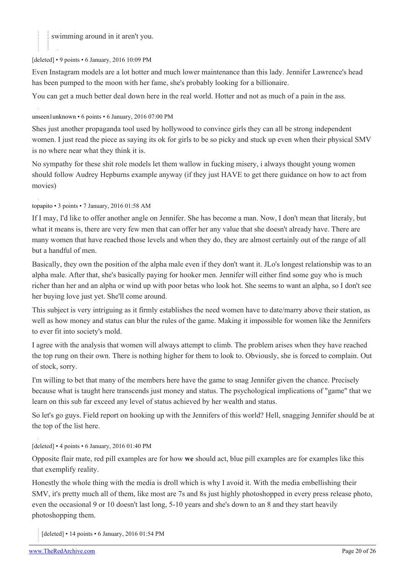swimming around in it aren't you.

[deleted] • 9 points • 6 January, 2016 10:09 PM

Even Instagram models are a lot hotter and much lower maintenance than this lady. Jennifer Lawrence's head has been pumped to the moon with her fame, she's probably looking for a billionaire.

You can get a much better deal down here in the real world. Hotter and not as much of a pain in the ass.

#### [unseen1unknown](https://old.reddit.com/user/unseen1unknown) • 6 points • 6 January, 2016 07:00 PM

Shes just another propaganda tool used by hollywood to convince girls they can all be strong independent women. I just read the piece as saying its ok for girls to be so picky and stuck up even when their physical SMV is no where near what they think it is.

No sympathy for these shit role models let them wallow in fucking misery, i always thought young women should follow Audrey Hepburns example anyway (if they just HAVE to get there guidance on how to act from movies)

#### [topapito](https://old.reddit.com/user/topapito) • 3 points • 7 January, 2016 01:58 AM

If I may, I'd like to offer another angle on Jennifer. She has become a man. Now, I don't mean that literaly, but what it means is, there are very few men that can offer her any value that she doesn't already have. There are many women that have reached those levels and when they do, they are almost certainly out of the range of all but a handful of men.

Basically, they own the position of the alpha male even if they don't want it. JLo's longest relationship was to an alpha male. After that, she's basically paying for hooker men. Jennifer will either find some guy who is much richer than her and an alpha or wind up with poor betas who look hot. She seems to want an alpha, so I don't see her buying love just yet. She'll come around.

This subject is very intriguing as it firmly establishes the need women have to date/marry above their station, as well as how money and status can blur the rules of the game. Making it impossible for women like the Jennifers to ever fit into society's mold.

I agree with the analysis that women will always attempt to climb. The problem arises when they have reached the top rung on their own. There is nothing higher for them to look to. Obviously, she is forced to complain. Out of stock, sorry.

I'm willing to bet that many of the members here have the game to snag Jennifer given the chance. Precisely because what is taught here transcends just money and status. The psychological implications of "game" that we learn on this sub far exceed any level of status achieved by her wealth and status.

So let's go guys. Field report on hooking up with the Jennifers of this world? Hell, snagging Jennifer should be at the top of the list here.

## [deleted] • 4 points • 6 January, 2016 01:40 PM

Opposite flair mate, red pill examples are for how **we** should act, blue pill examples are for examples like this that exemplify reality.

Honestly the whole thing with the media is droll which is why I avoid it. With the media embellishing their SMV, it's pretty much all of them, like most are 7s and 8s just highly photoshopped in every press release photo, even the occasional 9 or 10 doesn't last long, 5-10 years and she's down to an 8 and they start heavily photoshopping them.

[deleted] • 14 points • 6 January, 2016 01:54 PM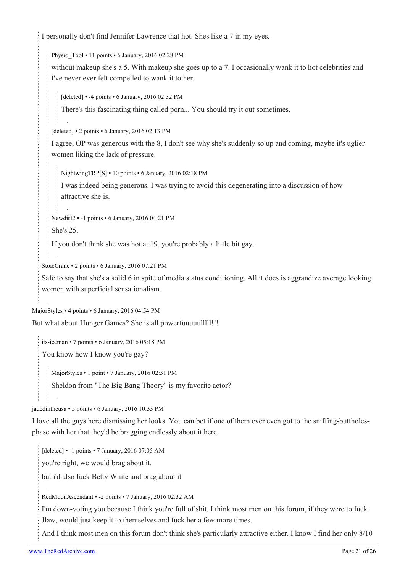I personally don't find Jennifer Lawrence that hot. Shes like a 7 in my eyes.

Physio Tool • 11 points • 6 January, 2016 02:28 PM

without makeup she's a 5. With makeup she goes up to a 7. I occasionally wank it to hot celebrities and I've never ever felt compelled to wank it to her.

[deleted] • -4 points • 6 January, 2016 02:32 PM

There's this fascinating thing called porn... You should try it out sometimes.

[deleted] • 2 points • 6 January, 2016 02:13 PM

I agree, OP was generous with the 8, I don't see why she's suddenly so up and coming, maybe it's uglier women liking the lack of pressure.

[NightwingTRP](https://old.reddit.com/user/NightwingTRP)[\[S](https://theredarchive.com/r/TheRedPill/comments/3zpqjs/jennifer_lawrence_explains_her_feefees/)] • 10 points • 6 January, 2016 02:18 PM

I was indeed being generous. I was trying to avoid this degenerating into a discussion of how attractive she is.

[Newdist2](https://old.reddit.com/user/Newdist2) • -1 points • 6 January, 2016 04:21 PM

She's 25.

If you don't think she was hot at 19, you're probably a little bit gay.

[StoicCrane](https://old.reddit.com/user/StoicCrane) • 2 points • 6 January, 2016 07:21 PM

Safe to say that she's a solid 6 in spite of media status conditioning. All it does is aggrandize average looking women with superficial sensationalism.

[MajorStyles](https://old.reddit.com/user/MajorStyles) • 4 points • 6 January, 2016 04:54 PM

But what about Hunger Games? She is all powerfuuuuulllll!!!

[its-iceman](https://old.reddit.com/user/its-iceman) • 7 points • 6 January, 2016 05:18 PM

You know how I know you're gay?

[MajorStyles](https://old.reddit.com/user/MajorStyles) • 1 point • 7 January, 2016 02:31 PM

Sheldon from "The Big Bang Theory" is my favorite actor?

[jadedintheusa](https://old.reddit.com/user/jadedintheusa) • 5 points • 6 January, 2016 10:33 PM

I love all the guys here dismissing her looks. You can bet if one of them ever even got to the sniffing-buttholesphase with her that they'd be bragging endlessly about it here.

[deleted] • -1 points • 7 January, 2016 07:05 AM

you're right, we would brag about it.

but i'd also fuck Betty White and brag about it

[RedMoonAscendant](https://old.reddit.com/user/RedMoonAscendant) • -2 points • 7 January, 2016 02:32 AM

I'm down-voting you because I think you're full of shit. I think most men on this forum, if they were to fuck Jlaw, would just keep it to themselves and fuck her a few more times.

And I think most men on this forum don't think she's particularly attractive either. I know I find her only 8/10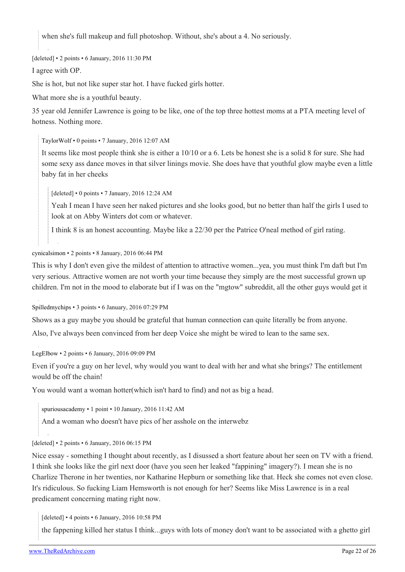when she's full makeup and full photoshop. Without, she's about a 4. No seriously.

[deleted] • 2 points • 6 January, 2016 11:30 PM

I agree with OP.

She is hot, but not like super star hot. I have fucked girls hotter.

What more she is a youthful beauty.

35 year old Jennifer Lawrence is going to be like, one of the top three hottest moms at a PTA meeting level of hotness. Nothing more.

[TaylorWolf](https://old.reddit.com/user/TaylorWolf) • 0 points • 7 January, 2016 12:07 AM

It seems like most people think she is either a 10/10 or a 6. Lets be honest she is a solid 8 for sure. She had some sexy ass dance moves in that silver linings movie. She does have that youthful glow maybe even a little baby fat in her cheeks

[deleted] • 0 points • 7 January, 2016 12:24 AM

Yeah I mean I have seen her naked pictures and she looks good, but no better than half the girls I used to look at on Abby Winters dot com or whatever.

I think 8 is an honest accounting. Maybe like a 22/30 per the Patrice O'neal method of girl rating.

[cynicalsimon](https://old.reddit.com/user/cynicalsimon) • 2 points • 8 January, 2016 06:44 PM

This is why I don't even give the mildest of attention to attractive women...yea, you must think I'm daft but I'm very serious. Attractive women are not worth your time because they simply are the most successful grown up children. I'm not in the mood to elaborate but if I was on the "mgtow" subreddit, all the other guys would get it

[Spilledmychips](https://old.reddit.com/user/Spilledmychips) • 3 points • 6 January, 2016 07:29 PM

Shows as a guy maybe you should be grateful that human connection can quite literally be from anyone.

Also, I've always been convinced from her deep Voice she might be wired to lean to the same sex.

[LegElbow](https://old.reddit.com/user/LegElbow) • 2 points • 6 January, 2016 09:09 PM

Even if you're a guy on her level, why would you want to deal with her and what she brings? The entitlement would be off the chain!

You would want a woman hotter(which isn't hard to find) and not as big a head.

[spuriousacademy](https://old.reddit.com/user/spuriousacademy) • 1 point • 10 January, 2016 11:42 AM

And a woman who doesn't have pics of her asshole on the interwebz

[deleted] • 2 points • 6 January, 2016 06:15 PM

Nice essay - something I thought about recently, as I disussed a short feature about her seen on TV with a friend. I think she looks like the girl next door (have you seen her leaked "fappining" imagery?). I mean she is no Charlize Therone in her twenties, nor Katharine Hepburn or something like that. Heck she comes not even close. It's ridiculous. So fucking Liam Hemsworth is not enough for her? Seems like Miss Lawrence is in a real predicament concerning mating right now.

[deleted] • 4 points • 6 January, 2016 10:58 PM

the fappening killed her status I think...guys with lots of money don't want to be associated with a ghetto girl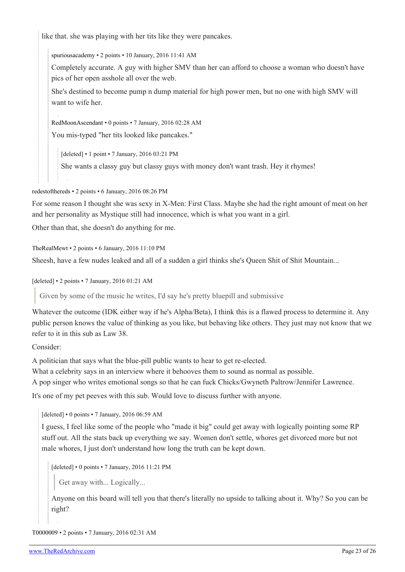like that. she was playing with her tits like they were pancakes.

[spuriousacademy](https://old.reddit.com/user/spuriousacademy) • 2 points • 10 January, 2016 11:41 AM

Completely accurate. A guy with higher SMV than her can afford to choose a woman who doesn't have pics of her open asshole all over the web.

She's destined to become pump n dump material for high power men, but no one with high SMV will want to wife her.

[RedMoonAscendant](https://old.reddit.com/user/RedMoonAscendant) • 0 points • 7 January, 2016 02:28 AM

You mis-typed "her tits looked like pancakes."

[deleted] • 1 point • 7 January, 2016 03:21 PM

She wants a classy guy but classy guys with money don't want trash. Hey it rhymes!

[redestofthereds](https://old.reddit.com/user/redestofthereds) • 2 points • 6 January, 2016 08:26 PM

For some reason I thought she was sexy in X-Men: First Class. Maybe she had the right amount of meat on her and her personality as Mystique still had innocence, which is what you want in a girl.

Other than that, she doesn't do anything for me.

[TheRealMewt](https://old.reddit.com/user/TheRealMewt) • 2 points • 6 January, 2016 11:10 PM

Sheesh, have a few nudes leaked and all of a sudden a girl thinks she's Queen Shit of Shit Mountain...

[deleted] • 2 points • 7 January, 2016 01:21 AM

Given by some of the music he writes, I'd say he's pretty bluepill and submissive

Whatever the outcome (IDK either way if he's Alpha/Beta), I think this is a flawed process to determine it. Any public person knows the value of thinking as you like, but behaving like others. They just may not know that we refer to it in this sub as Law 38.

Consider:

A politician that says what the blue-pill public wants to hear to get re-elected.

What a celebrity says in an interview where it behooves them to sound as normal as possible.

A pop singer who writes emotional songs so that he can fuck Chicks/Gwyneth Paltrow/Jennifer Lawrence.

It's one of my pet peeves with this sub. Would love to discuss further with anyone.

[deleted] • 0 points • 7 January, 2016 06:59 AM

I guess, I feel like some of the people who "made it big" could get away with logically pointing some RP stuff out. All the stats back up everything we say. Women don't settle, whores get divorced more but not male whores, I just don't understand how long the truth can be kept down.

[deleted] • 0 points • 7 January, 2016 11:21 PM

Get away with... Logically...

Anyone on this board will tell you that there's literally no upside to talking about it. Why? So you can be right?

[T0000009](https://old.reddit.com/user/T0000009) • 2 points • 7 January, 2016 02:31 AM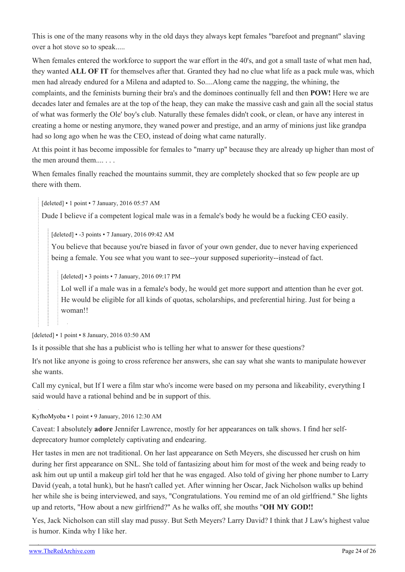This is one of the many reasons why in the old days they always kept females "barefoot and pregnant" slaving over a hot stove so to speak.....

When females entered the workforce to support the war effort in the 40's, and got a small taste of what men had, they wanted **ALL OF IT** for themselves after that. Granted they had no clue what life as a pack mule was, which men had already endured for a Milena and adapted to. So....Along came the nagging, the whining, the complaints, and the feminists burning their bra's and the dominoes continually fell and then **POW!** Here we are decades later and females are at the top of the heap, they can make the massive cash and gain all the social status of what was formerly the Ole' boy's club. Naturally these females didn't cook, or clean, or have any interest in creating a home or nesting anymore, they waned power and prestige, and an army of minions just like grandpa had so long ago when he was the CEO, instead of doing what came naturally.

At this point it has become impossible for females to "marry up" because they are already up higher than most of the men around them.... . . .

When females finally reached the mountains summit, they are completely shocked that so few people are up there with them.

[deleted] • 1 point • 7 January, 2016 05:57 AM

Dude I believe if a competent logical male was in a female's body he would be a fucking CEO easily.

[deleted] • -3 points • 7 January, 2016 09:42 AM

You believe that because you're biased in favor of your own gender, due to never having experienced being a female. You see what you want to see--your supposed superiority--instead of fact.

[deleted] • 3 points • 7 January, 2016 09:17 PM

Lol well if a male was in a female's body, he would get more support and attention than he ever got. He would be eligible for all kinds of quotas, scholarships, and preferential hiring. Just for being a woman!!

[deleted] • 1 point • 8 January, 2016 03:50 AM

Is it possible that she has a publicist who is telling her what to answer for these questions?

It's not like anyone is going to cross reference her answers, she can say what she wants to manipulate however she wants.

Call my cynical, but If I were a film star who's income were based on my persona and likeability, everything I said would have a rational behind and be in support of this.

[KyfhoMyoba](https://old.reddit.com/user/KyfhoMyoba) • 1 point • 9 January, 2016 12:30 AM

Caveat: I absolutely **adore** Jennifer Lawrence, mostly for her appearances on talk shows. I find her selfdeprecatory humor completely captivating and endearing.

Her tastes in men are not traditional. On her last appearance on Seth Meyers, she discussed her crush on him during her first appearance on SNL. She told of fantasizing about him for most of the week and being ready to ask him out up until a makeup girl told her that he was engaged. Also told of giving her phone number to Larry David (yeah, a total hunk), but he hasn't called yet. After winning her Oscar, Jack Nicholson walks up behind her while she is being interviewed, and says, "Congratulations. You remind me of an old girlfriend." She lights up and retorts, "How about a new girlfriend?" As he walks off, she mouths "**OH MY GOD!!**

Yes, Jack Nicholson can still slay mad pussy. But Seth Meyers? Larry David? I think that J Law's highest value is humor. Kinda why I like her.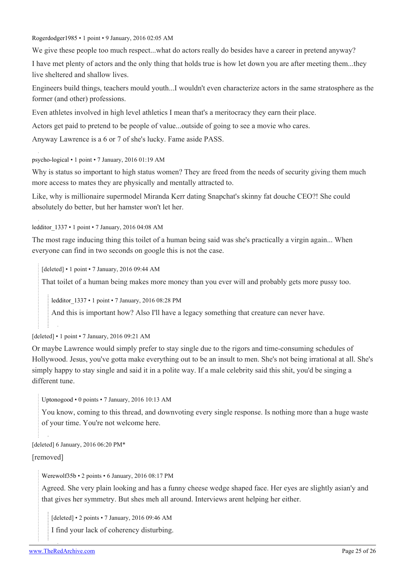[Rogerdodger1985](https://old.reddit.com/user/Rogerdodger1985) • 1 point • 9 January, 2016 02:05 AM

We give these people too much respect...what do actors really do besides have a career in pretend anyway?

I have met plenty of actors and the only thing that holds true is how let down you are after meeting them...they live sheltered and shallow lives.

Engineers build things, teachers mould youth...I wouldn't even characterize actors in the same stratosphere as the former (and other) professions.

Even athletes involved in high level athletics I mean that's a meritocracy they earn their place.

Actors get paid to pretend to be people of value...outside of going to see a movie who cares.

Anyway Lawrence is a 6 or 7 of she's lucky. Fame aside PASS.

[psycho-logical](https://old.reddit.com/user/psycho-logical) • 1 point • 7 January, 2016 01:19 AM

Why is status so important to high status women? They are freed from the needs of security giving them much more access to mates they are physically and mentally attracted to.

Like, why is millionaire supermodel Miranda Kerr dating Snapchat's skinny fat douche CEO?! She could absolutely do better, but her hamster won't let her.

[ledditor\\_1337](https://old.reddit.com/user/ledditor_1337) • 1 point • 7 January, 2016 04:08 AM

The most rage inducing thing this toilet of a human being said was she's practically a virgin again... When everyone can find in two seconds on google this is not the case.

[deleted] • 1 point • 7 January, 2016 09:44 AM

That toilet of a human being makes more money than you ever will and probably gets more pussy too.

[ledditor\\_1337](https://old.reddit.com/user/ledditor_1337) • 1 point • 7 January, 2016 08:28 PM

And this is important how? Also I'll have a legacy something that creature can never have.

[deleted] • 1 point • 7 January, 2016 09:21 AM

Or maybe Lawrence would simply prefer to stay single due to the rigors and time-consuming schedules of Hollywood. Jesus, you've gotta make everything out to be an insult to men. She's not being irrational at all. She's simply happy to stay single and said it in a polite way. If a male celebrity said this shit, you'd be singing a different tune.

[Uptonogood](https://old.reddit.com/user/Uptonogood) • 0 points • 7 January, 2016 10:13 AM

You know, coming to this thread, and downvoting every single response. Is nothing more than a huge waste of your time. You're not welcome here.

[deleted] 6 January, 2016 06:20 PM\*

[removed]

[Werewolf35b](https://old.reddit.com/user/Werewolf35b) • 2 points • 6 January, 2016 08:17 PM

Agreed. She very plain looking and has a funny cheese wedge shaped face. Her eyes are slightly asian'y and that gives her symmetry. But shes meh all around. Interviews arent helping her either.

[deleted] • 2 points • 7 January, 2016 09:46 AM

I find your lack of coherency disturbing.